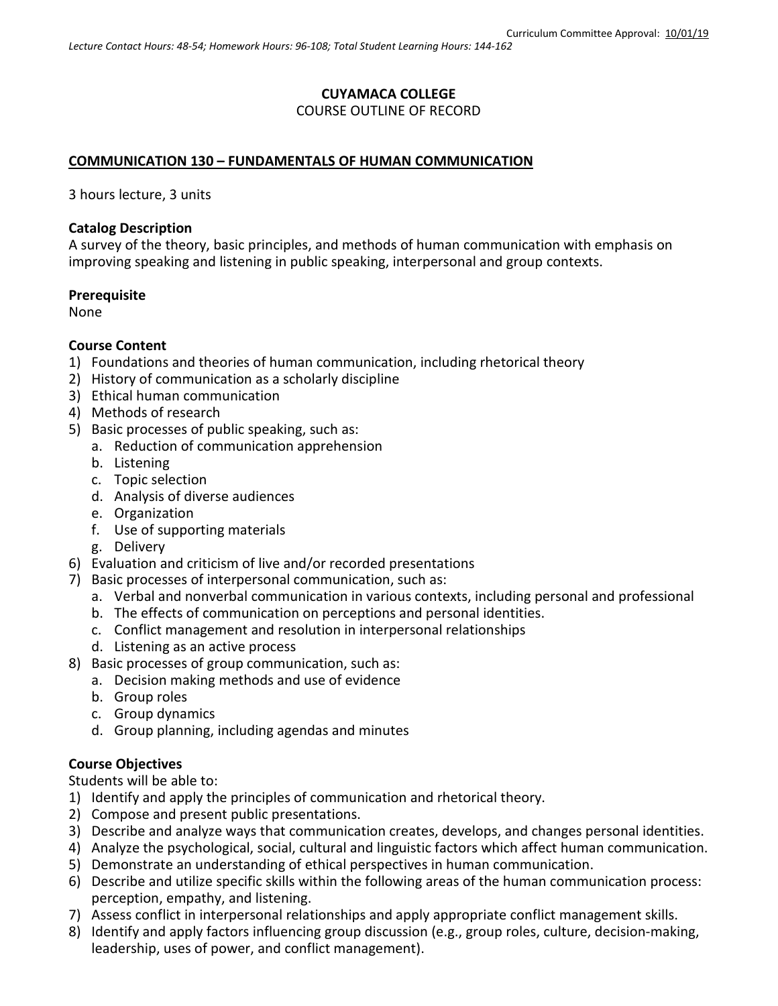# **CUYAMACA COLLEGE** COURSE OUTLINE OF RECORD

## **COMMUNICATION 130 – FUNDAMENTALS OF HUMAN COMMUNICATION**

3 hours lecture, 3 units

#### **Catalog Description**

A survey of the theory, basic principles, and methods of human communication with emphasis on improving speaking and listening in public speaking, interpersonal and group contexts.

#### **Prerequisite**

None

### **Course Content**

- 1) Foundations and theories of human communication, including rhetorical theory
- 2) History of communication as a scholarly discipline
- 3) Ethical human communication
- 4) Methods of research
- 5) Basic processes of public speaking, such as:
	- a. Reduction of communication apprehension
	- b. Listening
	- c. Topic selection
	- d. Analysis of diverse audiences
	- e. Organization
	- f. Use of supporting materials
	- g. Delivery
- 6) Evaluation and criticism of live and/or recorded presentations
- 7) Basic processes of interpersonal communication, such as:
	- a. Verbal and nonverbal communication in various contexts, including personal and professional
	- b. The effects of communication on perceptions and personal identities.
	- c. Conflict management and resolution in interpersonal relationships
	- d. Listening as an active process
- 8) Basic processes of group communication, such as:
	- a. Decision making methods and use of evidence
	- b. Group roles
	- c. Group dynamics
	- d. Group planning, including agendas and minutes

### **Course Objectives**

Students will be able to:

- 1) Identify and apply the principles of communication and rhetorical theory.
- 2) Compose and present public presentations.
- 3) Describe and analyze ways that communication creates, develops, and changes personal identities.
- 4) Analyze the psychological, social, cultural and linguistic factors which affect human communication.
- 5) Demonstrate an understanding of ethical perspectives in human communication.
- 6) Describe and utilize specific skills within the following areas of the human communication process: perception, empathy, and listening.
- 7) Assess conflict in interpersonal relationships and apply appropriate conflict management skills.
- 8) Identify and apply factors influencing group discussion (e.g., group roles, culture, decision-making, leadership, uses of power, and conflict management).